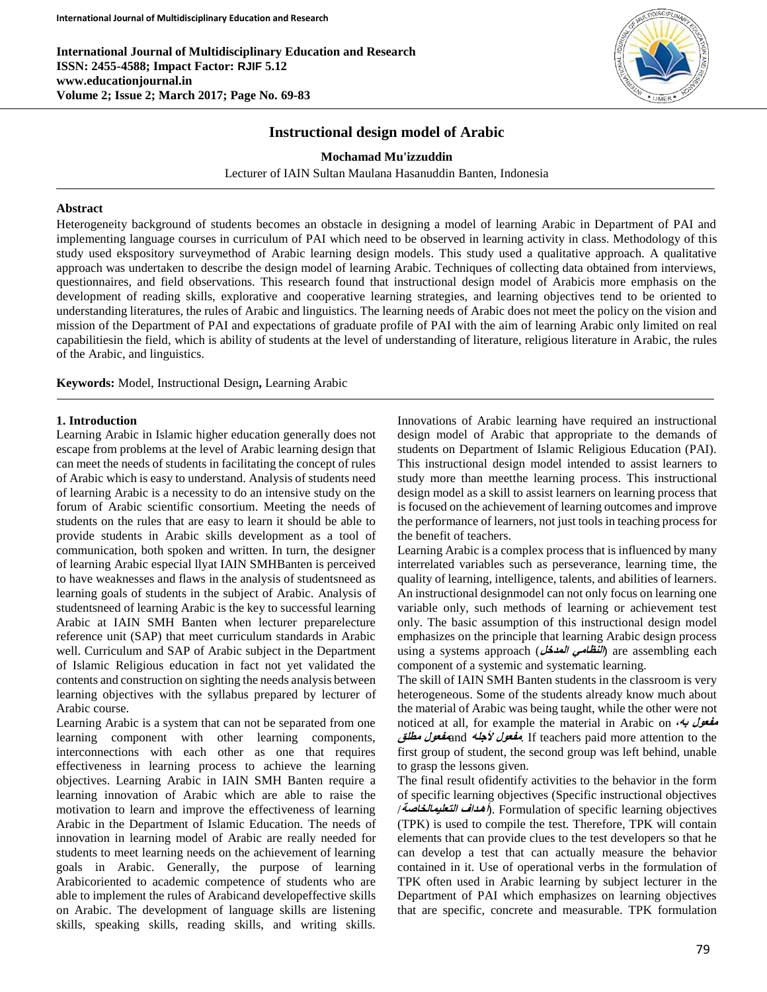

# **Instructional design model of Arabic**

**Mochamad Mu'izzuddin**

Lecturer of IAIN Sultan Maulana Hasanuddin Banten, Indonesia

#### **Abstract**

Heterogeneity background of students becomes an obstacle in designing a model of learning Arabic in Department of PAI and implementing language courses in curriculum of PAI which need to be observed in learning activity in class. Methodology of this study used ekspository surveymethod of Arabic learning design models. This study used a qualitative approach. A qualitative approach was undertaken to describe the design model of learning Arabic. Techniques of collecting data obtained from interviews, questionnaires, and field observations. This research found that instructional design model of Arabicis more emphasis on the development of reading skills, explorative and cooperative learning strategies, and learning objectives tend to be oriented to understanding literatures, the rules of Arabic and linguistics. The learning needs of Arabic does not meet the policy on the vision and mission of the Department of PAI and expectations of graduate profile of PAI with the aim of learning Arabic only limited on real capabilitiesin the field, which is ability of students at the level of understanding of literature, religious literature in Arabic, the rules of the Arabic, and linguistics.

**Keywords:** Model, Instructional Design**,** Learning Arabic

### **1. Introduction**

Learning Arabic in Islamic higher education generally does not escape from problems at the level of Arabic learning design that can meet the needs of students in facilitating the concept of rules of Arabic which is easy to understand. Analysis of students need of learning Arabic is a necessity to do an intensive study on the forum of Arabic scientific consortium. Meeting the needs of students on the rules that are easy to learn it should be able to provide students in Arabic skills development as a tool of communication, both spoken and written. In turn, the designer of learning Arabic especial llyat IAIN SMHBanten is perceived to have weaknesses and flaws in the analysis of studentsneed as learning goals of students in the subject of Arabic. Analysis of studentsneed of learning Arabic is the key to successful learning Arabic at IAIN SMH Banten when lecturer preparelecture reference unit (SAP) that meet curriculum standards in Arabic well. Curriculum and SAP of Arabic subject in the Department of Islamic Religious education in fact not yet validated the contents and construction on sighting the needs analysis between learning objectives with the syllabus prepared by lecturer of Arabic course.

Learning Arabic is a system that can not be separated from one learning component with other learning components, interconnections with each other as one that requires effectiveness in learning process to achieve the learning objectives. Learning Arabic in IAIN SMH Banten require a learning innovation of Arabic which are able to raise the motivation to learn and improve the effectiveness of learning Arabic in the Department of Islamic Education. The needs of innovation in learning model of Arabic are really needed for students to meet learning needs on the achievement of learning goals in Arabic. Generally, the purpose of learning Arabicoriented to academic competence of students who are able to implement the rules of Arabicand developeffective skills on Arabic. The development of language skills are listening skills, speaking skills, reading skills, and writing skills.

Innovations of Arabic learning have required an instructional design model of Arabic that appropriate to the demands of students on Department of Islamic Religious Education (PAI). This instructional design model intended to assist learners to study more than meetthe learning process. This instructional design model as a skill to assist learners on learning process that is focused on the achievement of learning outcomes and improve the performance of learners, not just tools in teaching process for the benefit of teachers.

Learning Arabic is a complex process that is influenced by many interrelated variables such as perseverance, learning time, the quality of learning, intelligence, talents, and abilities of learners. An instructional designmodel can not only focus on learning one variable only, such methods of learning or achievement test only. The basic assumption of this instructional design model emphasizes on the principle that learning Arabic design process using a systems approach (*النظامي العدخل)* are assembling each component of a systemic and systematic learning.

The skill of IAIN SMH Banten students in the classroom is very heterogeneous. Some of the students already know much about the material of Arabic was being taught, while the other were not noticed at all, for example the material in Arabic on **،به مفعول مطلق مفعول**and **ألجله مفعول**. If teachers paid more attention to the first group of student, the second group was left behind, unable to grasp the lessons given.

The final result ofidentify activities to the behavior in the form of specific learning objectives (Specific instructional objectives /**التعليمالخاصة أهـداف**(. Formulation of specific learning objectives (TPK) is used to compile the test. Therefore, TPK will contain elements that can provide clues to the test developers so that he can develop a test that can actually measure the behavior contained in it. Use of operational verbs in the formulation of TPK often used in Arabic learning by subject lecturer in the Department of PAI which emphasizes on learning objectives that are specific, concrete and measurable. TPK formulation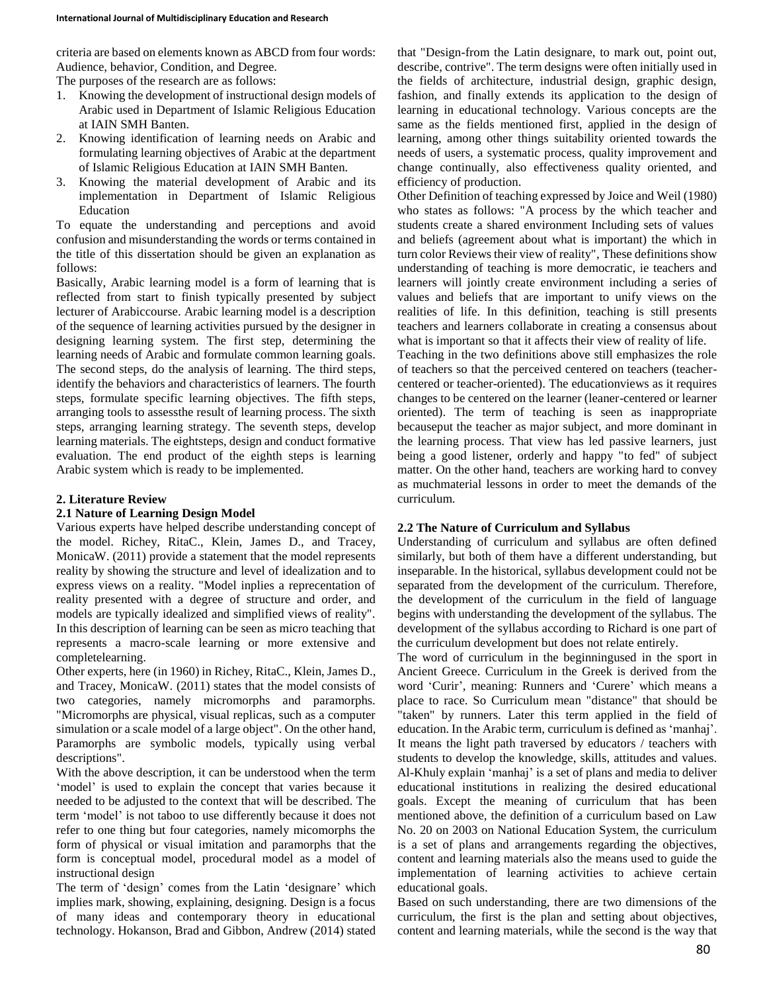criteria are based on elements known as ABCD from four words: Audience, behavior, Condition, and Degree.

The purposes of the research are as follows:

- 1. Knowing the development of instructional design models of Arabic used in Department of Islamic Religious Education at IAIN SMH Banten.
- 2. Knowing identification of learning needs on Arabic and formulating learning objectives of Arabic at the department of Islamic Religious Education at IAIN SMH Banten.
- 3. Knowing the material development of Arabic and its implementation in Department of Islamic Religious Education

To equate the understanding and perceptions and avoid confusion and misunderstanding the words or terms contained in the title of this dissertation should be given an explanation as follows:

Basically, Arabic learning model is a form of learning that is reflected from start to finish typically presented by subject lecturer of Arabiccourse. Arabic learning model is a description of the sequence of learning activities pursued by the designer in designing learning system. The first step, determining the learning needs of Arabic and formulate common learning goals. The second steps, do the analysis of learning. The third steps, identify the behaviors and characteristics of learners. The fourth steps, formulate specific learning objectives. The fifth steps, arranging tools to assessthe result of learning process. The sixth steps, arranging learning strategy. The seventh steps, develop learning materials. The eightsteps, design and conduct formative evaluation. The end product of the eighth steps is learning Arabic system which is ready to be implemented.

# **2. Literature Review**

## **2.1 Nature of Learning Design Model**

Various experts have helped describe understanding concept of the model. Richey, RitaC., Klein, James D., and Tracey, MonicaW. (2011) provide a statement that the model represents reality by showing the structure and level of idealization and to express views on a reality. "Model inplies a reprecentation of reality presented with a degree of structure and order, and models are typically idealized and simplified views of reality". In this description of learning can be seen as micro teaching that represents a macro-scale learning or more extensive and completelearning.

Other experts, here (in 1960) in Richey, RitaC., Klein, James D., and Tracey, MonicaW. (2011) states that the model consists of two categories, namely micromorphs and paramorphs. "Micromorphs are physical, visual replicas, such as a computer simulation or a scale model of a large object". On the other hand, Paramorphs are symbolic models, typically using verbal descriptions".

With the above description, it can be understood when the term 'model' is used to explain the concept that varies because it needed to be adjusted to the context that will be described. The term 'model' is not taboo to use differently because it does not refer to one thing but four categories, namely micomorphs the form of physical or visual imitation and paramorphs that the form is conceptual model, procedural model as a model of instructional design

The term of 'design' comes from the Latin 'designare' which implies mark, showing, explaining, designing. Design is a focus of many ideas and contemporary theory in educational technology. Hokanson, Brad and Gibbon, Andrew (2014) stated that "Design-from the Latin designare, to mark out, point out, describe, contrive". The term designs were often initially used in the fields of architecture, industrial design, graphic design, fashion, and finally extends its application to the design of learning in educational technology. Various concepts are the same as the fields mentioned first, applied in the design of learning, among other things suitability oriented towards the needs of users, a systematic process, quality improvement and change continually, also effectiveness quality oriented, and efficiency of production.

Other Definition of teaching expressed by Joice and Weil (1980) who states as follows: "A process by the which teacher and students create a shared environment Including sets of values and beliefs (agreement about what is important) the which in turn color Reviews their view of reality", These definitions show understanding of teaching is more democratic, ie teachers and learners will jointly create environment including a series of values and beliefs that are important to unify views on the realities of life. In this definition, teaching is still presents teachers and learners collaborate in creating a consensus about what is important so that it affects their view of reality of life.

Teaching in the two definitions above still emphasizes the role of teachers so that the perceived centered on teachers (teachercentered or teacher-oriented). The educationviews as it requires changes to be centered on the learner (leaner-centered or learner oriented). The term of teaching is seen as inappropriate becauseput the teacher as major subject, and more dominant in the learning process. That view has led passive learners, just being a good listener, orderly and happy "to fed" of subject matter. On the other hand, teachers are working hard to convey as muchmaterial lessons in order to meet the demands of the curriculum.

## **2.2 The Nature of Curriculum and Syllabus**

Understanding of curriculum and syllabus are often defined similarly, but both of them have a different understanding, but inseparable. In the historical, syllabus development could not be separated from the development of the curriculum. Therefore, the development of the curriculum in the field of language begins with understanding the development of the syllabus. The development of the syllabus according to Richard is one part of the curriculum development but does not relate entirely.

The word of curriculum in the beginningused in the sport in Ancient Greece. Curriculum in the Greek is derived from the word 'Curir', meaning: Runners and 'Curere' which means a place to race. So Curriculum mean "distance" that should be "taken" by runners. Later this term applied in the field of education. In the Arabic term, curriculum is defined as 'manhaj'. It means the light path traversed by educators / teachers with students to develop the knowledge, skills, attitudes and values. Al-Khuly explain 'manhaj' is a set of plans and media to deliver educational institutions in realizing the desired educational goals. Except the meaning of curriculum that has been mentioned above, the definition of a curriculum based on Law No. 20 on 2003 on National Education System, the curriculum is a set of plans and arrangements regarding the objectives, content and learning materials also the means used to guide the implementation of learning activities to achieve certain educational goals.

Based on such understanding, there are two dimensions of the curriculum, the first is the plan and setting about objectives, content and learning materials, while the second is the way that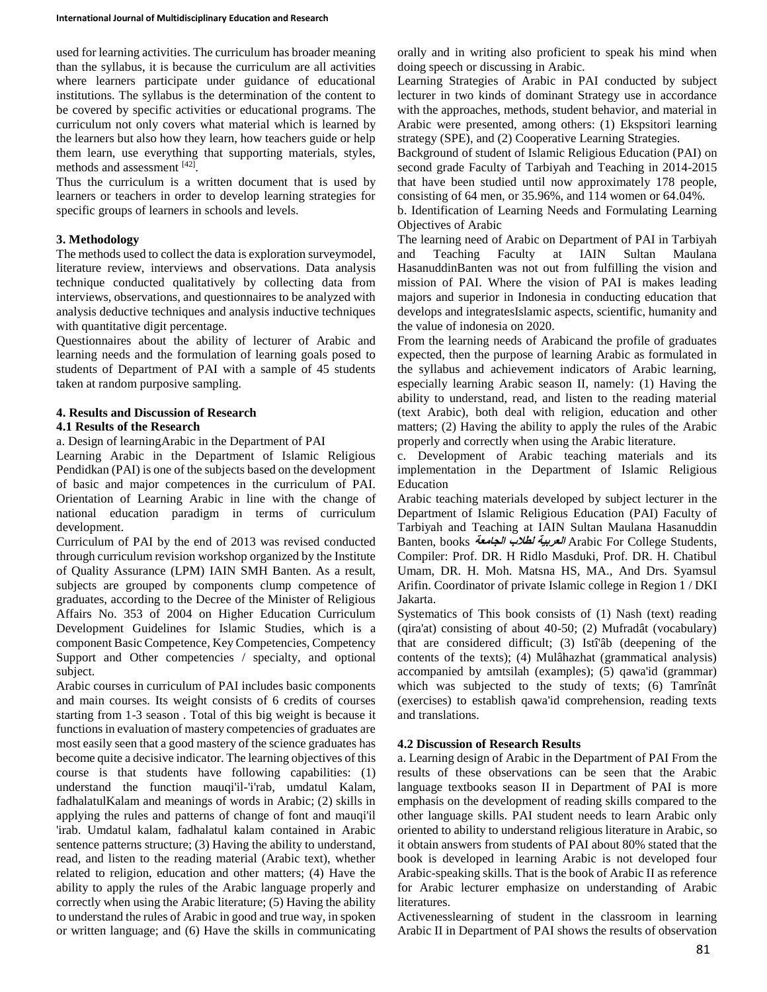used for learning activities. The curriculum has broader meaning than the syllabus, it is because the curriculum are all activities where learners participate under guidance of educational institutions. The syllabus is the determination of the content to be covered by specific activities or educational programs. The curriculum not only covers what material which is learned by the learners but also how they learn, how teachers guide or help them learn, use everything that supporting materials, styles, methods and assessment [42] .

Thus the curriculum is a written document that is used by learners or teachers in order to develop learning strategies for specific groups of learners in schools and levels.

## **3. Methodology**

The methods used to collect the data is exploration surveymodel, literature review, interviews and observations. Data analysis technique conducted qualitatively by collecting data from interviews, observations, and questionnaires to be analyzed with analysis deductive techniques and analysis inductive techniques with quantitative digit percentage.

Questionnaires about the ability of lecturer of Arabic and learning needs and the formulation of learning goals posed to students of Department of PAI with a sample of 45 students taken at random purposive sampling.

## **4. Results and Discussion of Research**

## **4.1 Results of the Research**

a. Design of learningArabic in the Department of PAI

Learning Arabic in the Department of Islamic Religious Pendidkan (PAI) is one of the subjects based on the development of basic and major competences in the curriculum of PAI. Orientation of Learning Arabic in line with the change of national education paradigm in terms of curriculum development.

Curriculum of PAI by the end of 2013 was revised conducted through curriculum revision workshop organized by the Institute of Quality Assurance (LPM) IAIN SMH Banten. As a result, subjects are grouped by components clump competence of graduates, according to the Decree of the Minister of Religious Affairs No. 353 of 2004 on Higher Education Curriculum Development Guidelines for Islamic Studies, which is a component Basic Competence, Key Competencies, Competency Support and Other competencies / specialty, and optional subject.

Arabic courses in curriculum of PAI includes basic components and main courses. Its weight consists of 6 credits of courses starting from 1-3 season . Total of this big weight is because it functions in evaluation of mastery competencies of graduates are most easily seen that a good mastery of the science graduates has become quite a decisive indicator. The learning objectives of this course is that students have following capabilities: (1) understand the function mauqi'il-'i'rab, umdatul Kalam, fadhalatulKalam and meanings of words in Arabic; (2) skills in applying the rules and patterns of change of font and mauqi'il 'irab. Umdatul kalam, fadhalatul kalam contained in Arabic sentence patterns structure; (3) Having the ability to understand, read, and listen to the reading material (Arabic text), whether related to religion, education and other matters; (4) Have the ability to apply the rules of the Arabic language properly and correctly when using the Arabic literature; (5) Having the ability to understand the rules of Arabic in good and true way, in spoken or written language; and (6) Have the skills in communicating

orally and in writing also proficient to speak his mind when doing speech or discussing in Arabic.

Learning Strategies of Arabic in PAI conducted by subject lecturer in two kinds of dominant Strategy use in accordance with the approaches, methods, student behavior, and material in Arabic were presented, among others: (1) Ekspsitori learning strategy (SPE), and (2) Cooperative Learning Strategies.

Background of student of Islamic Religious Education (PAI) on second grade Faculty of Tarbiyah and Teaching in 2014-2015 that have been studied until now approximately 178 people, consisting of 64 men, or 35.96%, and 114 women or 64.04%.

b. Identification of Learning Needs and Formulating Learning Objectives of Arabic

The learning need of Arabic on Department of PAI in Tarbiyah and Teaching Faculty at IAIN Sultan Maulana HasanuddinBanten was not out from fulfilling the vision and mission of PAI. Where the vision of PAI is makes leading majors and superior in Indonesia in conducting education that develops and integratesIslamic aspects, scientific, humanity and the value of indonesia on 2020.

From the learning needs of Arabicand the profile of graduates expected, then the purpose of learning Arabic as formulated in the syllabus and achievement indicators of Arabic learning, especially learning Arabic season II, namely: (1) Having the ability to understand, read, and listen to the reading material (text Arabic), both deal with religion, education and other matters; (2) Having the ability to apply the rules of the Arabic properly and correctly when using the Arabic literature.

c. Development of Arabic teaching materials and its implementation in the Department of Islamic Religious Education

Arabic teaching materials developed by subject lecturer in the Department of Islamic Religious Education (PAI) Faculty of Tarbiyah and Teaching at IAIN Sultan Maulana Hasanuddin Banten, books **الجامعة لطالب العربية** Arabic For College Students, Compiler: Prof. DR. H Ridlo Masduki, Prof. DR. H. Chatibul Umam, DR. H. Moh. Matsna HS, MA., And Drs. Syamsul Arifin. Coordinator of private Islamic college in Region 1 / DKI Jakarta.

Systematics of This book consists of (1) Nash (text) reading (qira'at) consisting of about 40-50; (2) Mufradât (vocabulary) that are considered difficult; (3) Istî'âb (deepening of the contents of the texts); (4) Mulâhazhat (grammatical analysis) accompanied by amtsilah (examples); (5) qawa'id (grammar) which was subjected to the study of texts; (6) Tamrînât (exercises) to establish qawa'id comprehension, reading texts and translations.

## **4.2 Discussion of Research Results**

a. Learning design of Arabic in the Department of PAI From the results of these observations can be seen that the Arabic language textbooks season II in Department of PAI is more emphasis on the development of reading skills compared to the other language skills. PAI student needs to learn Arabic only oriented to ability to understand religious literature in Arabic, so it obtain answers from students of PAI about 80% stated that the book is developed in learning Arabic is not developed four Arabic-speaking skills. That is the book of Arabic II as reference for Arabic lecturer emphasize on understanding of Arabic literatures.

Activenesslearning of student in the classroom in learning Arabic II in Department of PAI shows the results of observation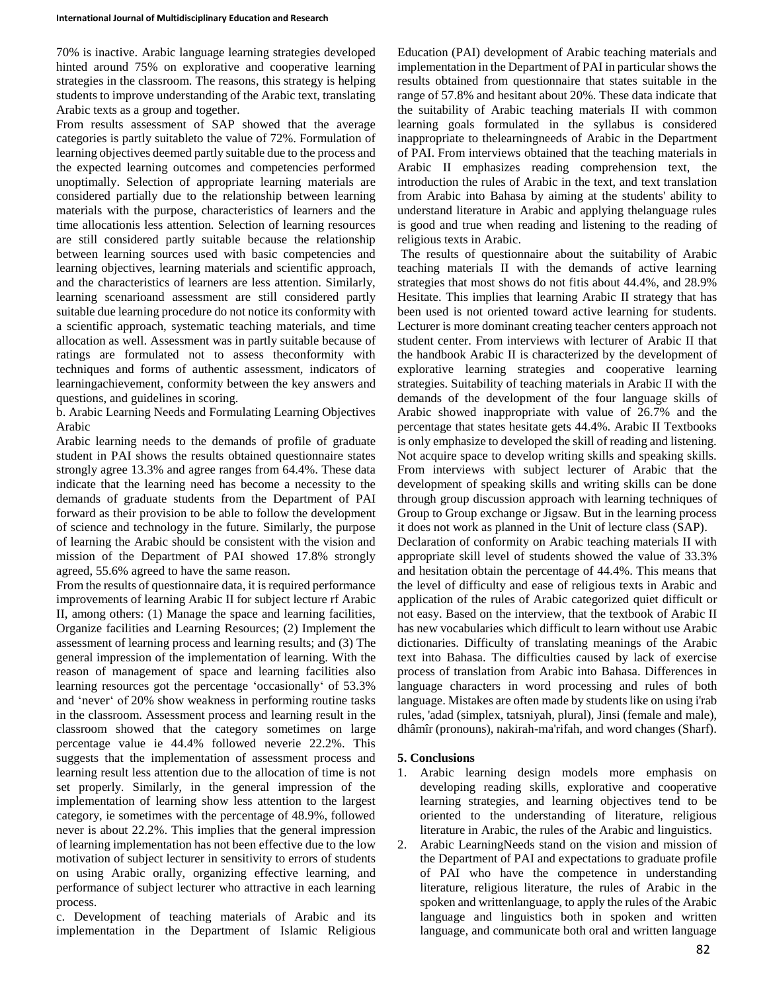70% is inactive. Arabic language learning strategies developed hinted around 75% on explorative and cooperative learning strategies in the classroom. The reasons, this strategy is helping students to improve understanding of the Arabic text, translating Arabic texts as a group and together.

From results assessment of SAP showed that the average categories is partly suitableto the value of 72%. Formulation of learning objectives deemed partly suitable due to the process and the expected learning outcomes and competencies performed unoptimally. Selection of appropriate learning materials are considered partially due to the relationship between learning materials with the purpose, characteristics of learners and the time allocationis less attention. Selection of learning resources are still considered partly suitable because the relationship between learning sources used with basic competencies and learning objectives, learning materials and scientific approach, and the characteristics of learners are less attention. Similarly, learning scenarioand assessment are still considered partly suitable due learning procedure do not notice its conformity with a scientific approach, systematic teaching materials, and time allocation as well. Assessment was in partly suitable because of ratings are formulated not to assess theconformity with techniques and forms of authentic assessment, indicators of learningachievement, conformity between the key answers and questions, and guidelines in scoring.

b. Arabic Learning Needs and Formulating Learning Objectives Arabic

Arabic learning needs to the demands of profile of graduate student in PAI shows the results obtained questionnaire states strongly agree 13.3% and agree ranges from 64.4%. These data indicate that the learning need has become a necessity to the demands of graduate students from the Department of PAI forward as their provision to be able to follow the development of science and technology in the future. Similarly, the purpose of learning the Arabic should be consistent with the vision and mission of the Department of PAI showed 17.8% strongly agreed, 55.6% agreed to have the same reason.

From the results of questionnaire data, it is required performance improvements of learning Arabic II for subject lecture rf Arabic II, among others: (1) Manage the space and learning facilities, Organize facilities and Learning Resources; (2) Implement the assessment of learning process and learning results; and (3) The general impression of the implementation of learning. With the reason of management of space and learning facilities also learning resources got the percentage 'occasionally' of 53.3% and 'never' of 20% show weakness in performing routine tasks in the classroom. Assessment process and learning result in the classroom showed that the category sometimes on large percentage value ie 44.4% followed neverie 22.2%. This suggests that the implementation of assessment process and learning result less attention due to the allocation of time is not set properly. Similarly, in the general impression of the implementation of learning show less attention to the largest category, ie sometimes with the percentage of 48.9%, followed never is about 22.2%. This implies that the general impression of learning implementation has not been effective due to the low motivation of subject lecturer in sensitivity to errors of students on using Arabic orally, organizing effective learning, and performance of subject lecturer who attractive in each learning process.

c. Development of teaching materials of Arabic and its implementation in the Department of Islamic Religious

Education (PAI) development of Arabic teaching materials and implementation in the Department of PAI in particular shows the results obtained from questionnaire that states suitable in the range of 57.8% and hesitant about 20%. These data indicate that the suitability of Arabic teaching materials II with common learning goals formulated in the syllabus is considered inappropriate to thelearningneeds of Arabic in the Department of PAI. From interviews obtained that the teaching materials in Arabic II emphasizes reading comprehension text, the introduction the rules of Arabic in the text, and text translation from Arabic into Bahasa by aiming at the students' ability to understand literature in Arabic and applying thelanguage rules is good and true when reading and listening to the reading of religious texts in Arabic.

The results of questionnaire about the suitability of Arabic teaching materials II with the demands of active learning strategies that most shows do not fitis about 44.4%, and 28.9% Hesitate. This implies that learning Arabic II strategy that has been used is not oriented toward active learning for students. Lecturer is more dominant creating teacher centers approach not student center. From interviews with lecturer of Arabic II that the handbook Arabic II is characterized by the development of explorative learning strategies and cooperative learning strategies. Suitability of teaching materials in Arabic II with the demands of the development of the four language skills of Arabic showed inappropriate with value of 26.7% and the percentage that states hesitate gets 44.4%. Arabic II Textbooks is only emphasize to developed the skill of reading and listening. Not acquire space to develop writing skills and speaking skills. From interviews with subject lecturer of Arabic that the development of speaking skills and writing skills can be done through group discussion approach with learning techniques of Group to Group exchange or Jigsaw. But in the learning process it does not work as planned in the Unit of lecture class (SAP).

Declaration of conformity on Arabic teaching materials II with appropriate skill level of students showed the value of 33.3% and hesitation obtain the percentage of 44.4%. This means that the level of difficulty and ease of religious texts in Arabic and application of the rules of Arabic categorized quiet difficult or not easy. Based on the interview, that the textbook of Arabic II has new vocabularies which difficult to learn without use Arabic dictionaries. Difficulty of translating meanings of the Arabic text into Bahasa. The difficulties caused by lack of exercise process of translation from Arabic into Bahasa. Differences in language characters in word processing and rules of both language. Mistakes are often made by students like on using i'rab rules, 'adad (simplex, tatsniyah, plural), Jinsi (female and male), dhâmîr (pronouns), nakirah-ma'rifah, and word changes (Sharf).

## **5. Conclusions**

- 1. Arabic learning design models more emphasis on developing reading skills, explorative and cooperative learning strategies, and learning objectives tend to be oriented to the understanding of literature, religious literature in Arabic, the rules of the Arabic and linguistics.
- 2. Arabic LearningNeeds stand on the vision and mission of the Department of PAI and expectations to graduate profile of PAI who have the competence in understanding literature, religious literature, the rules of Arabic in the spoken and writtenlanguage, to apply the rules of the Arabic language and linguistics both in spoken and written language, and communicate both oral and written language